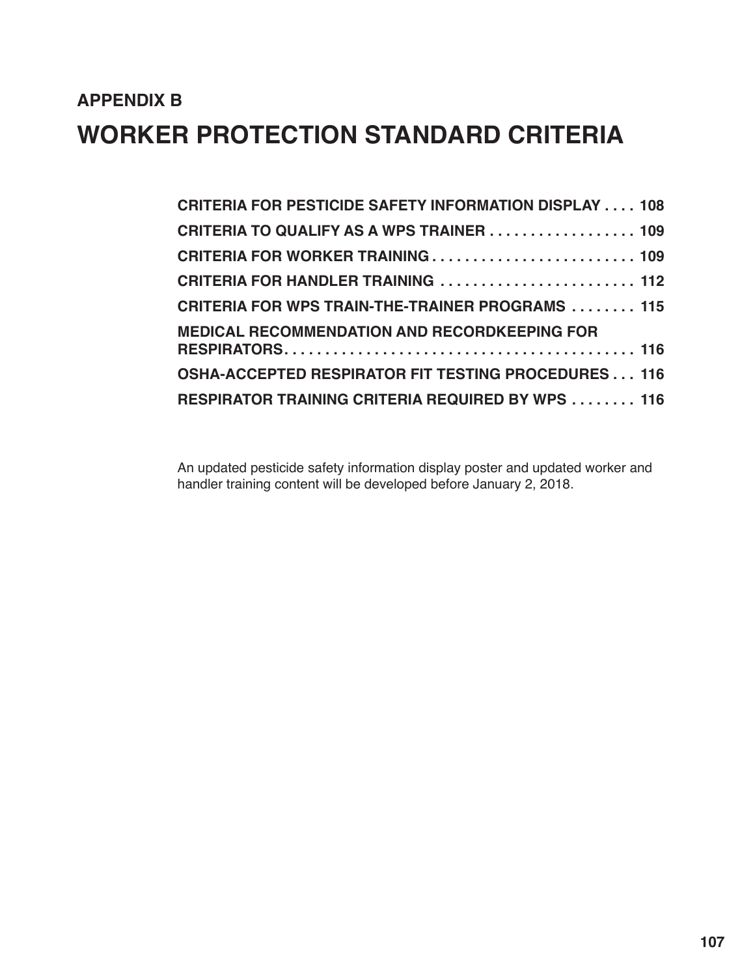# **APPENDIX B WORKER PROTECTION STANDARD CRITERIA**

| <b>CRITERIA FOR PESTICIDE SAFETY INFORMATION DISPLAY  108</b> |
|---------------------------------------------------------------|
| <b>CRITERIA TO QUALIFY AS A WPS TRAINER  109</b>              |
| <b>CRITERIA FOR WORKER TRAINING  109</b>                      |
|                                                               |
| <b>CRITERIA FOR WPS TRAIN-THE-TRAINER PROGRAMS  115</b>       |
| <b>MEDICAL RECOMMENDATION AND RECORDKEEPING FOR</b>           |
|                                                               |
| <b>OSHA-ACCEPTED RESPIRATOR FIT TESTING PROCEDURES  116</b>   |
| <b>RESPIRATOR TRAINING CRITERIA REQUIRED BY WPS  116</b>      |

An updated pesticide safety information display poster and updated worker and handler training content will be developed before January 2, 2018.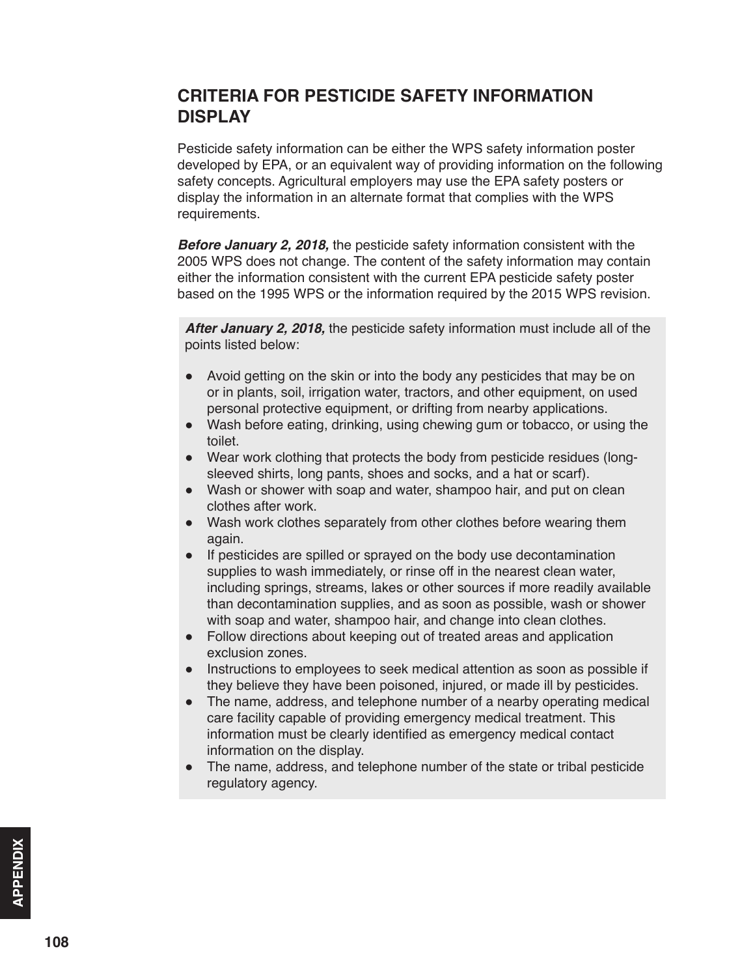#### <span id="page-1-0"></span>**CRITERIA FOR PESTICIDE SAFETY INFORMATION DISPLAY**

Pesticide safety information can be either the WPS safety information poster developed by EPA, or an equivalent way of providing information on the following safety concepts. Agricultural employers may use the EPA safety posters or display the information in an alternate format that complies with the WPS requirements.

*Before January 2, 2018,* the pesticide safety information consistent with the 2005 WPS does not change. The content of the safety information may contain either the information consistent with the current EPA pesticide safety poster based on the 1995 WPS or the information required by the 2015 WPS revision.

*After January 2, 2018,* the pesticide safety information must include all of the points listed below:

- Avoid getting on the skin or into the body any pesticides that may be on or in plants, soil, irrigation water, tractors, and other equipment, on used personal protective equipment, or drifting from nearby applications.
- Wash before eating, drinking, using chewing gum or tobacco, or using the toilet.
- Wear work clothing that protects the body from pesticide residues (longsleeved shirts, long pants, shoes and socks, and a hat or scarf).
- Wash or shower with soap and water, shampoo hair, and put on clean clothes after work.
- Wash work clothes separately from other clothes before wearing them again.
- If pesticides are spilled or sprayed on the body use decontamination supplies to wash immediately, or rinse off in the nearest clean water, including springs, streams, lakes or other sources if more readily available than decontamination supplies, and as soon as possible, wash or shower with soap and water, shampoo hair, and change into clean clothes.
- Follow directions about keeping out of treated areas and application exclusion zones.
- Instructions to employees to seek medical attention as soon as possible if they believe they have been poisoned, injured, or made ill by pesticides.
- The name, address, and telephone number of a nearby operating medical care facility capable of providing emergency medical treatment. This information must be clearly identified as emergency medical contact information on the display.
- The name, address, and telephone number of the state or tribal pesticide regulatory agency.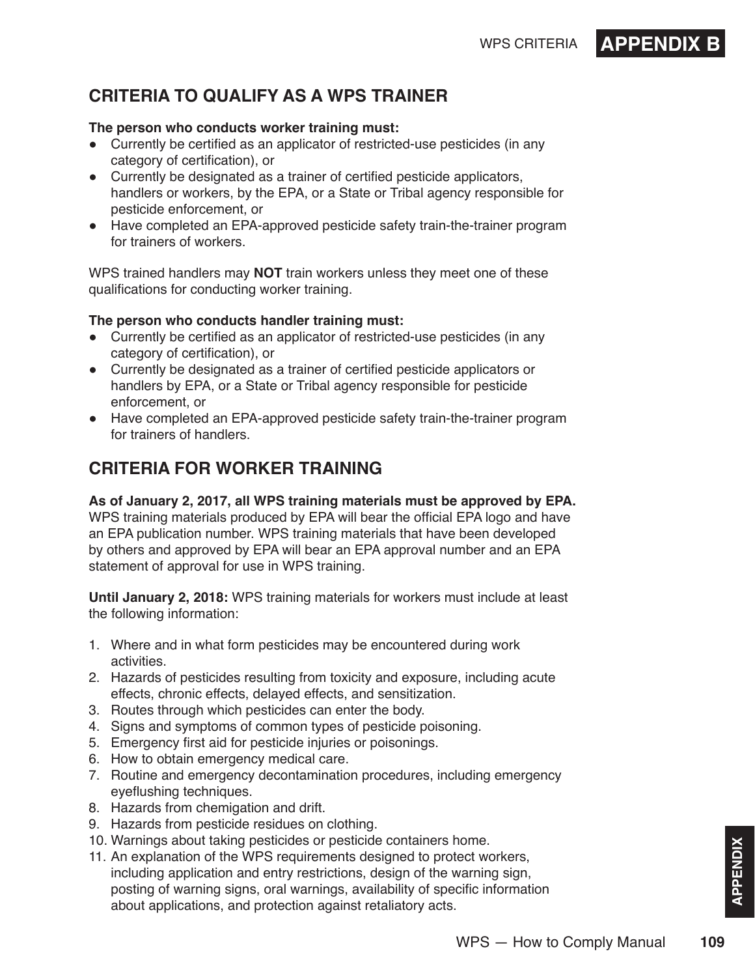# WPS CRITERIA **APPENDIX**

# <span id="page-2-0"></span>**CRITERIA TO QUALIFY AS A WPS TRAINER**

#### **The person who conducts worker training must:**

- Currently be certified as an applicator of restricted-use pesticides (in any category of certification), or
- Currently be designated as a trainer of certified pesticide applicators, handlers or workers, by the EPA, or a State or Tribal agency responsible for pesticide enforcement, or
- Have completed an EPA-approved pesticide safety train-the-trainer program for trainers of workers.

WPS trained handlers may **NOT** train workers unless they meet one of these qualifications for conducting worker training.

#### **The person who conducts handler training must:**

- Currently be certified as an applicator of restricted-use pesticides (in any category of certification), or
- Currently be designated as a trainer of certified pesticide applicators or handlers by EPA, or a State or Tribal agency responsible for pesticide enforcement, or
- Have completed an EPA-approved pesticide safety train-the-trainer program for trainers of handlers.

# **CRITERIA FOR WORKER TRAINING**

#### **As of January 2, 2017, all WPS training materials must be approved by EPA.**

WPS training materials produced by EPA will bear the official EPA logo and have an EPA publication number. WPS training materials that have been developed by others and approved by EPA will bear an EPA approval number and an EPA statement of approval for use in WPS training.

**Until January 2, 2018:** WPS training materials for workers must include at least the following information:

- 1. Where and in what form pesticides may be encountered during work activities.
- 2. Hazards of pesticides resulting from toxicity and exposure, including acute effects, chronic effects, delayed effects, and sensitization.
- 3. Routes through which pesticides can enter the body.
- 4. Signs and symptoms of common types of pesticide poisoning.
- 5. Emergency first aid for pesticide injuries or poisonings.
- 6. How to obtain emergency medical care.
- 7. Routine and emergency decontamination procedures, including emergency eyeflushing techniques.
- 8. Hazards from chemigation and drift.
- 9. Hazards from pesticide residues on clothing.
- 10. Warnings about taking pesticides or pesticide containers home.
- 11. An explanation of the WPS requirements designed to protect workers, including application and entry restrictions, design of the warning sign, posting of warning signs, oral warnings, availability of specific information about applications, and protection against retaliatory acts.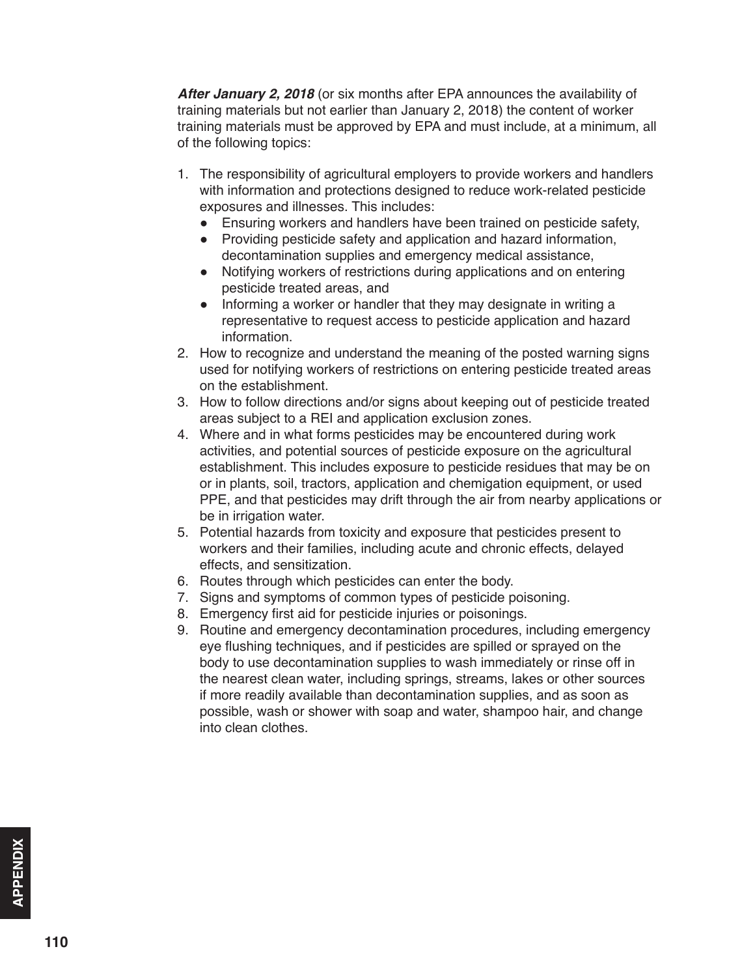*After January 2, 2018* (or six months after EPA announces the availability of training materials but not earlier than January 2, 2018) the content of worker training materials must be approved by EPA and must include, at a minimum, all of the following topics:

- 1. The responsibility of agricultural employers to provide workers and handlers with information and protections designed to reduce work-related pesticide exposures and illnesses. This includes:
	- Ensuring workers and handlers have been trained on pesticide safety,
	- Providing pesticide safety and application and hazard information, decontamination supplies and emergency medical assistance,
	- Notifying workers of restrictions during applications and on entering pesticide treated areas, and
	- Informing a worker or handler that they may designate in writing a representative to request access to pesticide application and hazard information.
- 2. How to recognize and understand the meaning of the posted warning signs used for notifying workers of restrictions on entering pesticide treated areas on the establishment.
- 3. How to follow directions and/or signs about keeping out of pesticide treated areas subject to a REI and application exclusion zones.
- 4. Where and in what forms pesticides may be encountered during work activities, and potential sources of pesticide exposure on the agricultural establishment. This includes exposure to pesticide residues that may be on or in plants, soil, tractors, application and chemigation equipment, or used PPE, and that pesticides may drift through the air from nearby applications or be in irrigation water.
- 5. Potential hazards from toxicity and exposure that pesticides present to workers and their families, including acute and chronic effects, delayed effects, and sensitization.
- 6. Routes through which pesticides can enter the body.
- 7. Signs and symptoms of common types of pesticide poisoning.
- 8. Emergency first aid for pesticide injuries or poisonings.
- 9. Routine and emergency decontamination procedures, including emergency eye flushing techniques, and if pesticides are spilled or sprayed on the body to use decontamination supplies to wash immediately or rinse off in the nearest clean water, including springs, streams, lakes or other sources if more readily available than decontamination supplies, and as soon as possible, wash or shower with soap and water, shampoo hair, and change into clean clothes.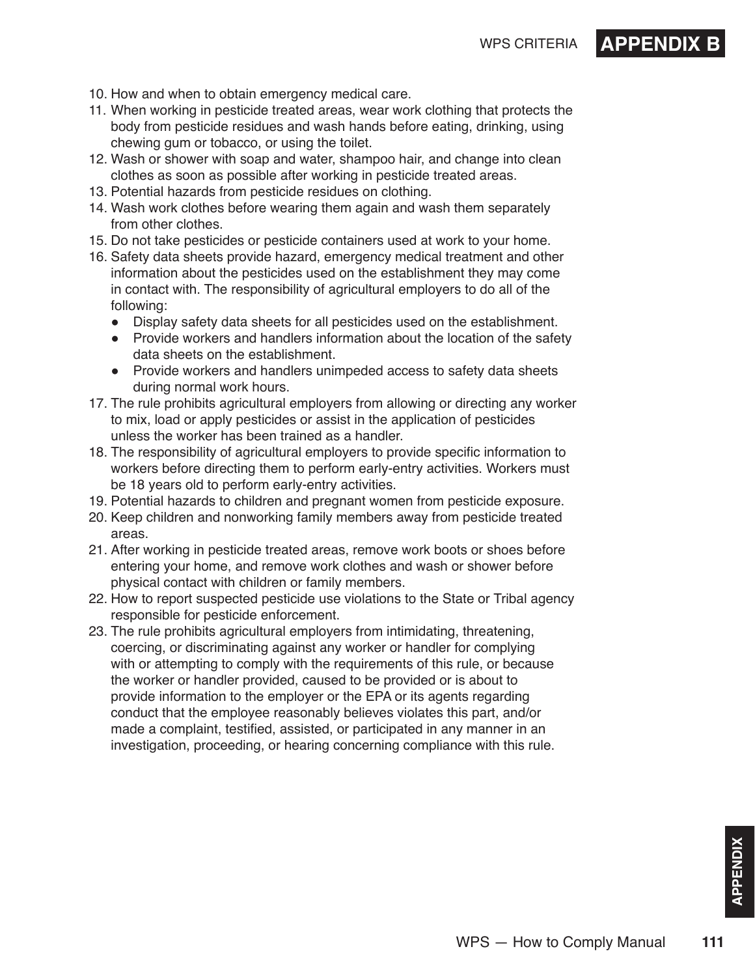## WPS CRITERIA **APPENDIX**

- 10. How and when to obtain emergency medical care.
- 11. When working in pesticide treated areas, wear work clothing that protects the body from pesticide residues and wash hands before eating, drinking, using chewing gum or tobacco, or using the toilet.
- 12. Wash or shower with soap and water, shampoo hair, and change into clean clothes as soon as possible after working in pesticide treated areas.
- 13. Potential hazards from pesticide residues on clothing.
- 14. Wash work clothes before wearing them again and wash them separately from other clothes.
- 15. Do not take pesticides or pesticide containers used at work to your home.
- 16. Safety data sheets provide hazard, emergency medical treatment and other information about the pesticides used on the establishment they may come in contact with. The responsibility of agricultural employers to do all of the following:
	- Display safety data sheets for all pesticides used on the establishment.
	- Provide workers and handlers information about the location of the safety data sheets on the establishment.
	- Provide workers and handlers unimpeded access to safety data sheets during normal work hours.
- 17. The rule prohibits agricultural employers from allowing or directing any worker to mix, load or apply pesticides or assist in the application of pesticides unless the worker has been trained as a handler.
- 18. The responsibility of agricultural employers to provide specific information to workers before directing them to perform early-entry activities. Workers must be 18 years old to perform early-entry activities.
- 19. Potential hazards to children and pregnant women from pesticide exposure.
- 20. Keep children and nonworking family members away from pesticide treated areas.
- 21. After working in pesticide treated areas, remove work boots or shoes before entering your home, and remove work clothes and wash or shower before physical contact with children or family members.
- 22. How to report suspected pesticide use violations to the State or Tribal agency responsible for pesticide enforcement.
- 23. The rule prohibits agricultural employers from intimidating, threatening, coercing, or discriminating against any worker or handler for complying with or attempting to comply with the requirements of this rule, or because the worker or handler provided, caused to be provided or is about to provide information to the employer or the EPA or its agents regarding conduct that the employee reasonably believes violates this part, and/or made a complaint, testified, assisted, or participated in any manner in an investigation, proceeding, or hearing concerning compliance with this rule.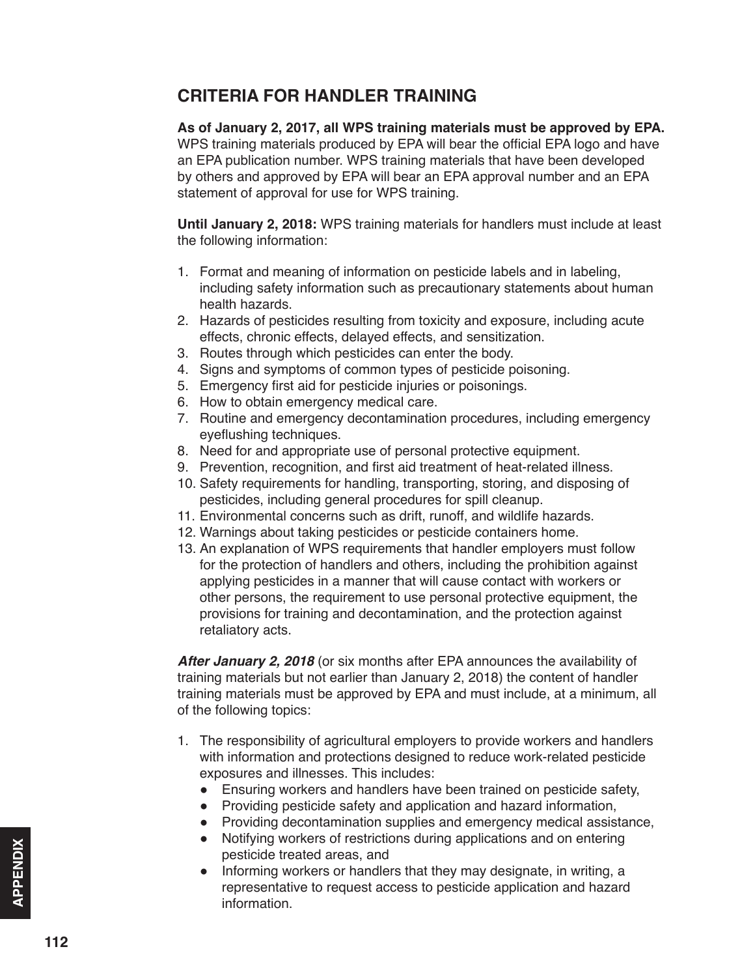#### <span id="page-5-0"></span>**CRITERIA FOR HANDLER TRAINING**

**As of January 2, 2017, all WPS training materials must be approved by EPA.** WPS training materials produced by EPA will bear the official EPA logo and have an EPA publication number. WPS training materials that have been developed by others and approved by EPA will bear an EPA approval number and an EPA statement of approval for use for WPS training.

**Until January 2, 2018:** WPS training materials for handlers must include at least the following information:

- 1. Format and meaning of information on pesticide labels and in labeling, including safety information such as precautionary statements about human health hazards.
- 2. Hazards of pesticides resulting from toxicity and exposure, including acute effects, chronic effects, delayed effects, and sensitization.
- 3. Routes through which pesticides can enter the body.
- 4. Signs and symptoms of common types of pesticide poisoning.
- 5. Emergency first aid for pesticide injuries or poisonings.
- 6. How to obtain emergency medical care.
- 7. Routine and emergency decontamination procedures, including emergency eyeflushing techniques.
- 8. Need for and appropriate use of personal protective equipment.
- 9. Prevention, recognition, and first aid treatment of heat-related illness.
- 10. Safety requirements for handling, transporting, storing, and disposing of pesticides, including general procedures for spill cleanup.
- 11. Environmental concerns such as drift, runoff, and wildlife hazards.
- 12. Warnings about taking pesticides or pesticide containers home.
- 13. An explanation of WPS requirements that handler employers must follow for the protection of handlers and others, including the prohibition against applying pesticides in a manner that will cause contact with workers or other persons, the requirement to use personal protective equipment, the provisions for training and decontamination, and the protection against retaliatory acts.

*After January 2, 2018* (or six months after EPA announces the availability of training materials but not earlier than January 2, 2018) the content of handler training materials must be approved by EPA and must include, at a minimum, all of the following topics:

- 1. The responsibility of agricultural employers to provide workers and handlers with information and protections designed to reduce work-related pesticide exposures and illnesses. This includes:
	- Ensuring workers and handlers have been trained on pesticide safety,
	- Providing pesticide safety and application and hazard information,
	- Providing decontamination supplies and emergency medical assistance,
	- Notifying workers of restrictions during applications and on entering pesticide treated areas, and
	- Informing workers or handlers that they may designate, in writing, a representative to request access to pesticide application and hazard information.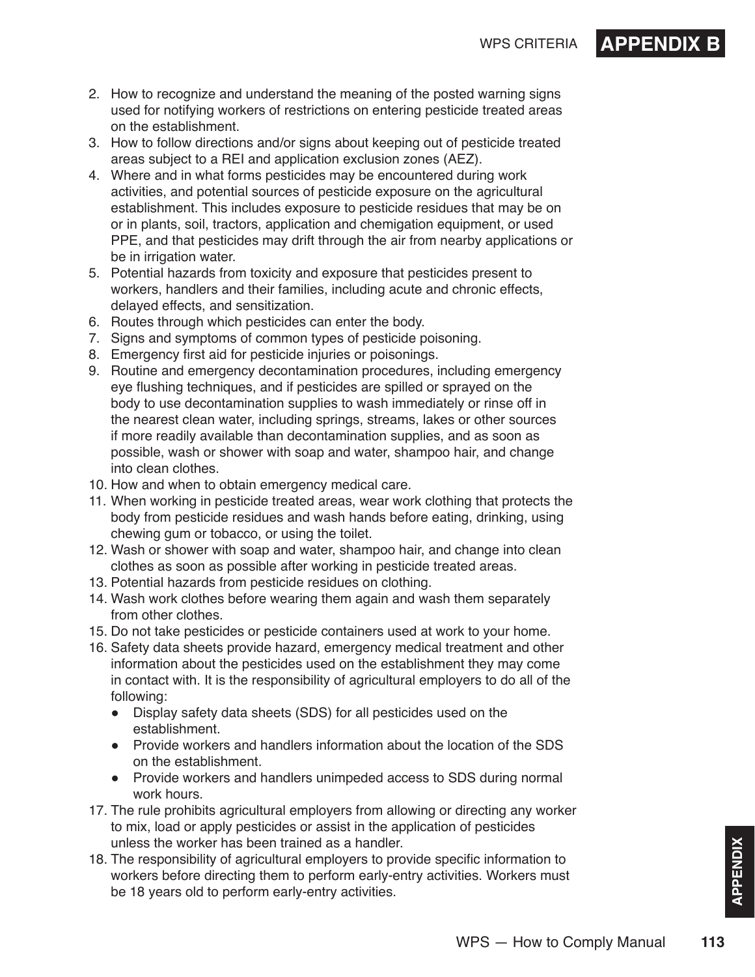

- 2. How to recognize and understand the meaning of the posted warning signs used for notifying workers of restrictions on entering pesticide treated areas on the establishment.
- 3. How to follow directions and/or signs about keeping out of pesticide treated areas subject to a REI and application exclusion zones (AEZ).
- 4. Where and in what forms pesticides may be encountered during work activities, and potential sources of pesticide exposure on the agricultural establishment. This includes exposure to pesticide residues that may be on or in plants, soil, tractors, application and chemigation equipment, or used PPE, and that pesticides may drift through the air from nearby applications or be in irrigation water.
- 5. Potential hazards from toxicity and exposure that pesticides present to workers, handlers and their families, including acute and chronic effects, delayed effects, and sensitization.
- 6. Routes through which pesticides can enter the body.
- 7. Signs and symptoms of common types of pesticide poisoning.
- 8. Emergency first aid for pesticide injuries or poisonings.
- 9. Routine and emergency decontamination procedures, including emergency eye flushing techniques, and if pesticides are spilled or sprayed on the body to use decontamination supplies to wash immediately or rinse off in the nearest clean water, including springs, streams, lakes or other sources if more readily available than decontamination supplies, and as soon as possible, wash or shower with soap and water, shampoo hair, and change into clean clothes.
- 10. How and when to obtain emergency medical care.
- 11. When working in pesticide treated areas, wear work clothing that protects the body from pesticide residues and wash hands before eating, drinking, using chewing gum or tobacco, or using the toilet.
- 12. Wash or shower with soap and water, shampoo hair, and change into clean clothes as soon as possible after working in pesticide treated areas.
- 13. Potential hazards from pesticide residues on clothing.
- 14. Wash work clothes before wearing them again and wash them separately from other clothes.
- 15. Do not take pesticides or pesticide containers used at work to your home.
- 16. Safety data sheets provide hazard, emergency medical treatment and other information about the pesticides used on the establishment they may come in contact with. It is the responsibility of agricultural employers to do all of the following:
	- Display safety data sheets (SDS) for all pesticides used on the establishment.
	- Provide workers and handlers information about the location of the SDS on the establishment.
	- Provide workers and handlers unimpeded access to SDS during normal work hours.
- 17. The rule prohibits agricultural employers from allowing or directing any worker to mix, load or apply pesticides or assist in the application of pesticides unless the worker has been trained as a handler.
- 18. The responsibility of agricultural employers to provide specific information to workers before directing them to perform early-entry activities. Workers must be 18 years old to perform early-entry activities.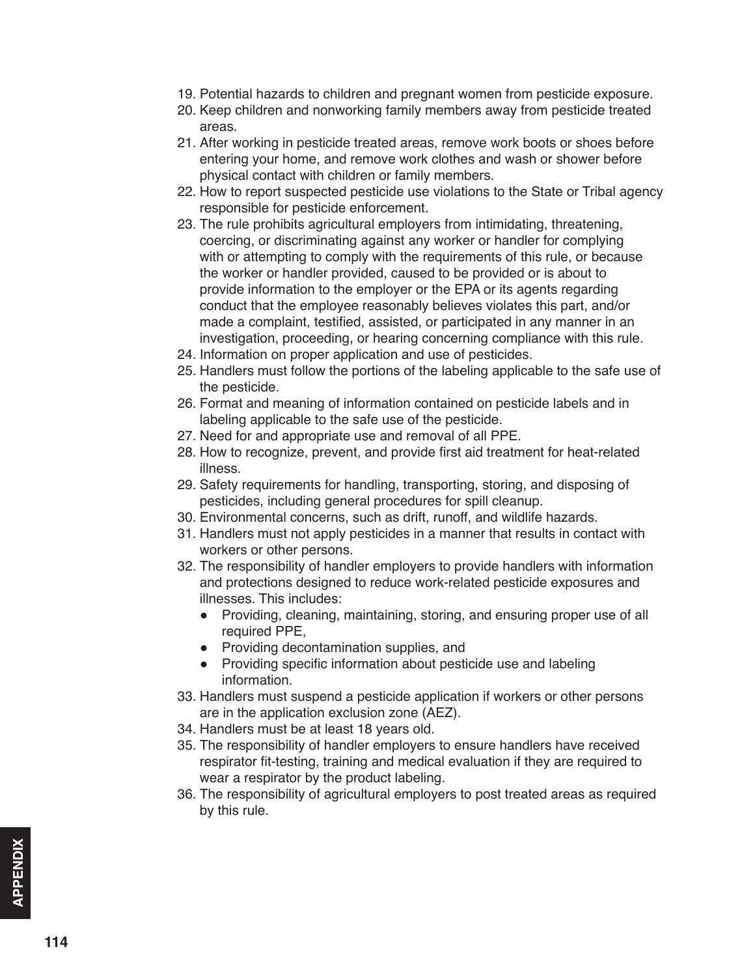- 19. Potential hazards to children and pregnant women from pesticide exposure.
- 20. Keep children and nonworking family members away from pesticide treated areas.
- 21. After working in pesticide treated areas, remove work boots or shoes before entering your home, and remove work clothes and wash or shower before physical contact with children or family members.
- 22. How to report suspected pesticide use violations to the State or Tribal agency responsible for pesticide enforcement.
- 23. The rule prohibits agricultural employers from intimidating, threatening, coercing, or discriminating against any worker or handler for complying with or attempting to comply with the requirements of this rule, or because the worker or handler provided, caused to be provided or is about to provide information to the employer or the EPA or its agents regarding conduct that the employee reasonably believes violates this part, and/or made a complaint, testified, assisted, or participated in any manner in an investigation, proceeding, or hearing concerning compliance with this rule.
- 24. Information on proper application and use of pesticides.
- 25. Handlers must follow the portions of the labeling applicable to the safe use of the pesticide.
- 26. Format and meaning of information contained on pesticide labels and in labeling applicable to the safe use of the pesticide.
- 27. Need for and appropriate use and removal of all PPE.
- 28. How to recognize, prevent, and provide first aid treatment for heat-related illness.
- 29. Safety requirements for handling, transporting, storing, and disposing of pesticides, including general procedures for spill cleanup.
- 30. Environmental concerns, such as drift, runoff, and wildlife hazards.
- 31. Handlers must not apply pesticides in a manner that results in contact with workers or other persons.
- 32. The responsibility of handler employers to provide handlers with information and protections designed to reduce work-related pesticide exposures and illnesses. This includes:
	- Providing, cleaning, maintaining, storing, and ensuring proper use of all required PPE,
	- Providing decontamination supplies, and
	- Providing specific information about pesticide use and labeling information.
- 33. Handlers must suspend a pesticide application if workers or other persons are in the application exclusion zone (AEZ).
- 34. Handlers must be at least 18 years old.
- 35. The responsibility of handler employers to ensure handlers have received respirator fit-testing, training and medical evaluation if they are required to wear a respirator by the product labeling.
- 36. The responsibility of agricultural employers to post treated areas as required by this rule.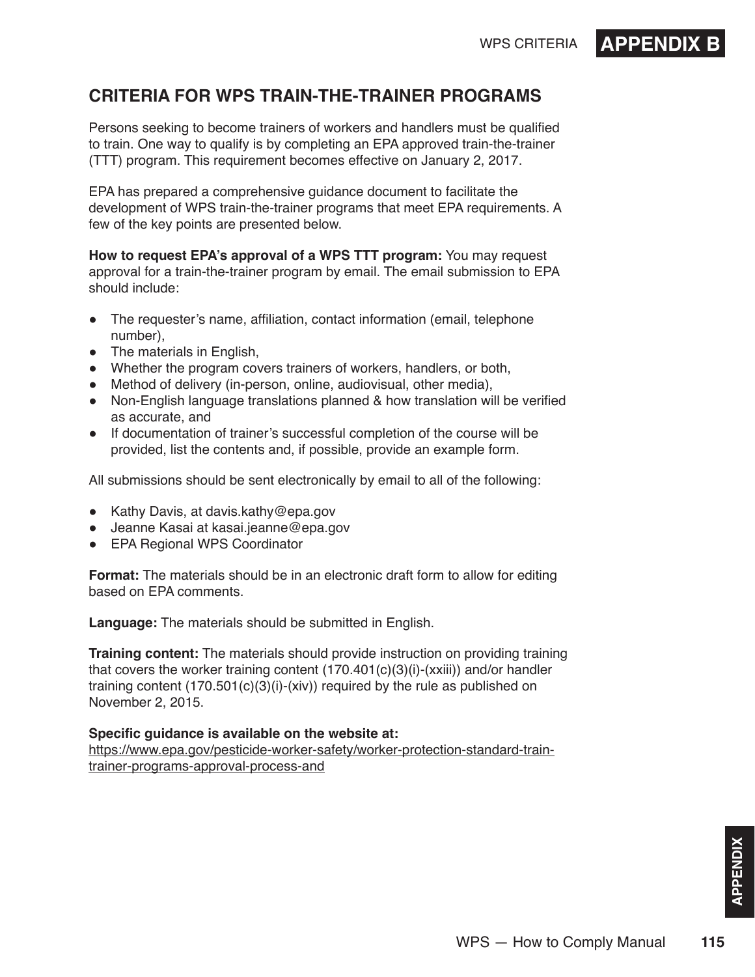## WPS CRITERIA **APPENDIX**

#### <span id="page-8-0"></span>**CRITERIA FOR WPS TRAIN-THE-TRAINER PROGRAMS**

Persons seeking to become trainers of workers and handlers must be qualified to train. One way to qualify is by completing an EPA approved train-the-trainer (TTT) program. This requirement becomes effective on January 2, 2017.

EPA has prepared a comprehensive guidance document to facilitate the development of WPS train-the-trainer programs that meet EPA requirements. A few of the key points are presented below.

**How to request EPA's approval of a WPS TTT program:** You may request approval for a train-the-trainer program by email. The email submission to EPA should include:

- The requester's name, affiliation, contact information (email, telephone number),
- The materials in English,
- Whether the program covers trainers of workers, handlers, or both,
- Method of delivery (in-person, online, audiovisual, other media),
- Non-English language translations planned & how translation will be verified as accurate, and
- If documentation of trainer's successful completion of the course will be provided, list the contents and, if possible, provide an example form.

All submissions should be sent electronically by email to all of the following:

- Kathy Davis, at davis.kathy@epa.gov
- Jeanne Kasai at kasai.jeanne@epa.gov
- EPA Regional WPS Coordinator

**Format:** The materials should be in an electronic draft form to allow for editing based on EPA comments.

**Language:** The materials should be submitted in English.

**Training content:** The materials should provide instruction on providing training that covers the worker training content  $(170.401(c)(3)(i)-(xxiii))$  and/or handler training content (170.501(c)(3)(i)-(xiv)) required by the rule as published on November 2, 2015.

#### **Specific guidance is available on the website at:**

[https://www.epa.gov/pesticide-worker-safety/worker-protection-standard-train](https://www.epa.gov/pesticide-worker-safety/worker-protection-standard-train-trainer-programs-approval-process-and)[trainer-programs-approval-process-and](https://www.epa.gov/pesticide-worker-safety/worker-protection-standard-train-trainer-programs-approval-process-and)